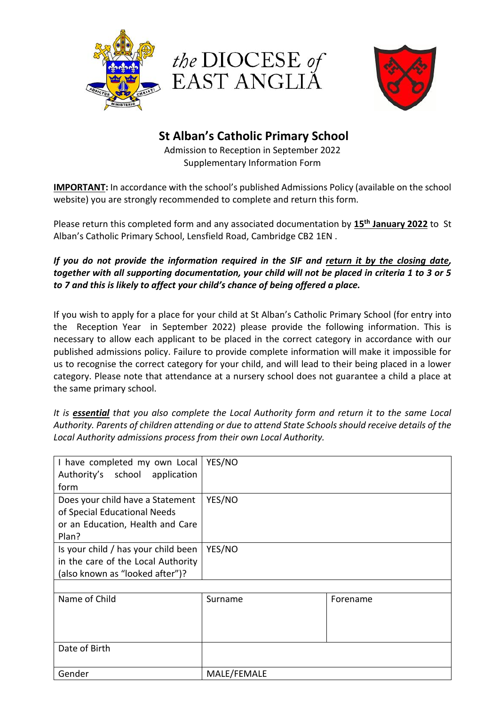





## **St Alban's Catholic Primary School**

Admission to Reception in September 2022 Supplementary Information Form

**IMPORTANT:** In accordance with the school's published Admissions Policy (available on the school website) you are strongly recommended to complete and return this form.

Please return this completed form and any associated documentation by **15th January 2022** to St Alban's Catholic Primary School, Lensfield Road, Cambridge CB2 1EN .

## *If you do not provide the information required in the SIF and return it by the closing date, together with all supporting documentation, your child will not be placed in criteria 1 to 3 or 5 to 7 and this is likely to affect your child's chance of being offered a place.*

If you wish to apply for a place for your child at St Alban's Catholic Primary School (for entry into the Reception Year in September 2022) please provide the following information. This is necessary to allow each applicant to be placed in the correct category in accordance with our published admissions policy. Failure to provide complete information will make it impossible for us to recognise the correct category for your child, and will lead to their being placed in a lower category. Please note that attendance at a nursery school does not guarantee a child a place at the same primary school.

*It is essential that you also complete the Local Authority form and return it to the same Local Authority. Parents of children attending or due to attend State Schools should receive details of the Local Authority admissions process from their own Local Authority.*

| I have completed my own Local       | YES/NO  |          |
|-------------------------------------|---------|----------|
| Authority's school application      |         |          |
| form                                |         |          |
| Does your child have a Statement    | YES/NO  |          |
| of Special Educational Needs        |         |          |
| or an Education, Health and Care    |         |          |
| Plan?                               |         |          |
| Is your child / has your child been | YES/NO  |          |
| in the care of the Local Authority  |         |          |
| (also known as "looked after")?     |         |          |
|                                     |         |          |
| Name of Child                       | Surname | Forename |
|                                     |         |          |
|                                     |         |          |
|                                     |         |          |
| Date of Birth                       |         |          |

| Date of Birth |             |
|---------------|-------------|
| Gender        | MALE/FEMALE |